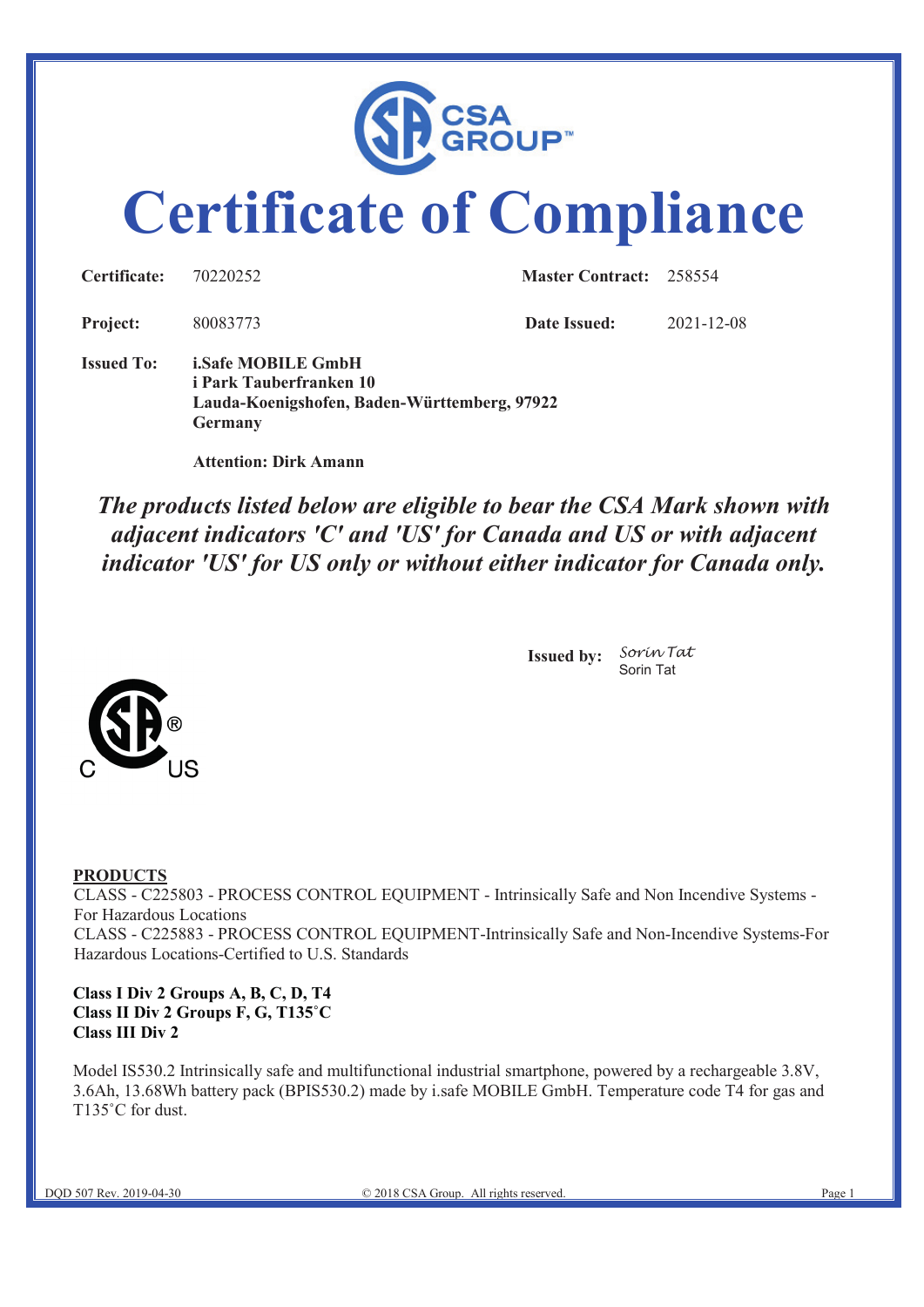

# **Certificate of Compliance**

| <b>Certificate:</b> | 70220252            | <b>Master Contract: 258554</b> |            |
|---------------------|---------------------|--------------------------------|------------|
| <b>Project:</b>     | 80083773            | Date Issued:                   | 2021-12-08 |
|                     | I IT 'CLAMONIE' III |                                |            |

**Issued To: i.Safe MOBILE GmbH i Park Tauberfranken 10 Lauda-Koenigshofen, Baden-Württemberg, 97922 Germany**

 **Attention: Dirk Amann**

*The products listed below are eligible to bear the CSA Mark shown with adjacent indicators 'C' and 'US' for Canada and US or with adjacent indicator 'US' for US only or without either indicator for Canada only.*



**Issued by:** *Sorin Tat* Sorin Tat

#### **PRODUCTS**

CLASS - C225803 - PROCESS CONTROL EQUIPMENT - Intrinsically Safe and Non Incendive Systems - For Hazardous Locations CLASS - C225883 - PROCESS CONTROL EQUIPMENT-Intrinsically Safe and Non-Incendive Systems-For Hazardous Locations-Certified to U.S. Standards

#### **Class I Div 2 Groups A, B, C, D, T4 Class II Div 2 Groups F, G, T135˚C Class III Div 2**

Model IS530.2 Intrinsically safe and multifunctional industrial smartphone, powered by a rechargeable 3.8V, 3.6Ah, 13.68Wh battery pack (BPIS530.2) made by i.safe MOBILE GmbH. Temperature code T4 for gas and T135°C for dust.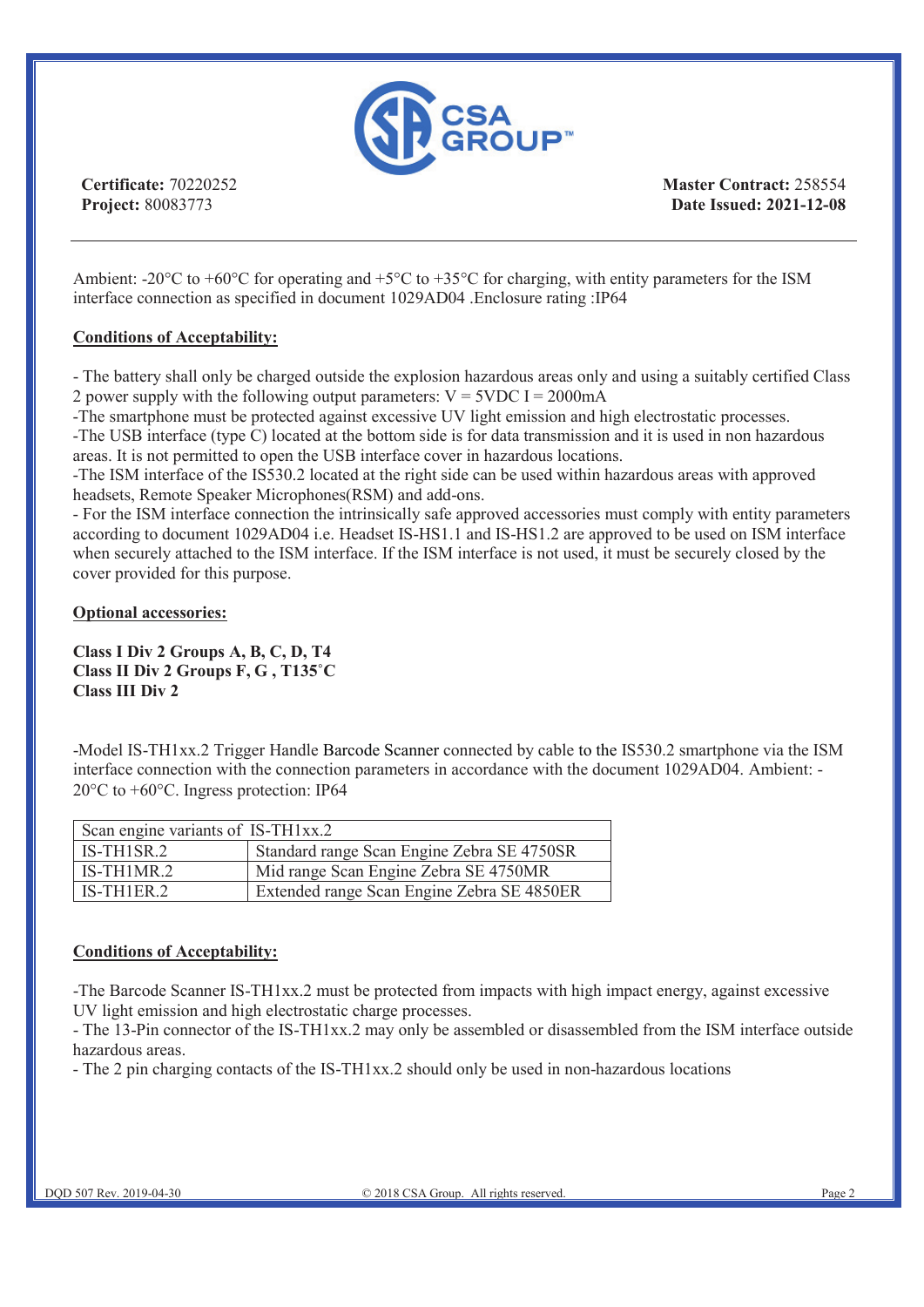

**Master Contract:** 258554 **Date Issued: 2021-12-08**

Ambient: -20 $^{\circ}$ C to +60 $^{\circ}$ C for operating and +5 $^{\circ}$ C to +35 $^{\circ}$ C for charging, with entity parameters for the ISM interface connection as specified in document 1029AD04 .Enclosure rating :IP64

#### **Conditions of Acceptability:**

- The battery shall only be charged outside the explosion hazardous areas only and using a suitably certified Class 2 power supply with the following output parameters:  $V = 5VDC I = 2000mA$ 

-The smartphone must be protected against excessive UV light emission and high electrostatic processes.

-The USB interface (type C) located at the bottom side is for data transmission and it is used in non hazardous areas. It is not permitted to open the USB interface cover in hazardous locations.

-The ISM interface of the IS530.2 located at the right side can be used within hazardous areas with approved headsets, Remote Speaker Microphones(RSM) and add-ons.

- For the ISM interface connection the intrinsically safe approved accessories must comply with entity parameters according to document 1029AD04 i.e. Headset IS-HS1.1 and IS-HS1.2 are approved to be used on ISM interface when securely attached to the ISM interface. If the ISM interface is not used, it must be securely closed by the cover provided for this purpose.

**Optional accessories:**

**Class I Div 2 Groups A, B, C, D, T4 Class II Div 2 Groups F, G , T135˚C Class III Div 2**

-Model IS-TH1xx.2 Trigger Handle Barcode Scanner connected by cable to the IS530.2 smartphone via the ISM interface connection with the connection parameters in accordance with the document 1029AD04. Ambient: - 20 $\degree$ C to +60 $\degree$ C. Ingress protection: IP64

| Scan engine variants of IS-TH1xx.2 |                                            |  |
|------------------------------------|--------------------------------------------|--|
| $IS-TH1SR.2$                       | Standard range Scan Engine Zebra SE 4750SR |  |
| IS-TH1MR.2                         | Mid range Scan Engine Zebra SE 4750MR      |  |
| $IS-TH1ER.2$                       | Extended range Scan Engine Zebra SE 4850ER |  |

#### **Conditions of Acceptability:**

-The Barcode Scanner IS-TH1xx.2 must be protected from impacts with high impact energy, against excessive UV light emission and high electrostatic charge processes.

- The 13-Pin connector of the IS-TH1xx.2 may only be assembled or disassembled from the ISM interface outside hazardous areas.

- The 2 pin charging contacts of the IS-TH1xx.2 should only be used in non-hazardous locations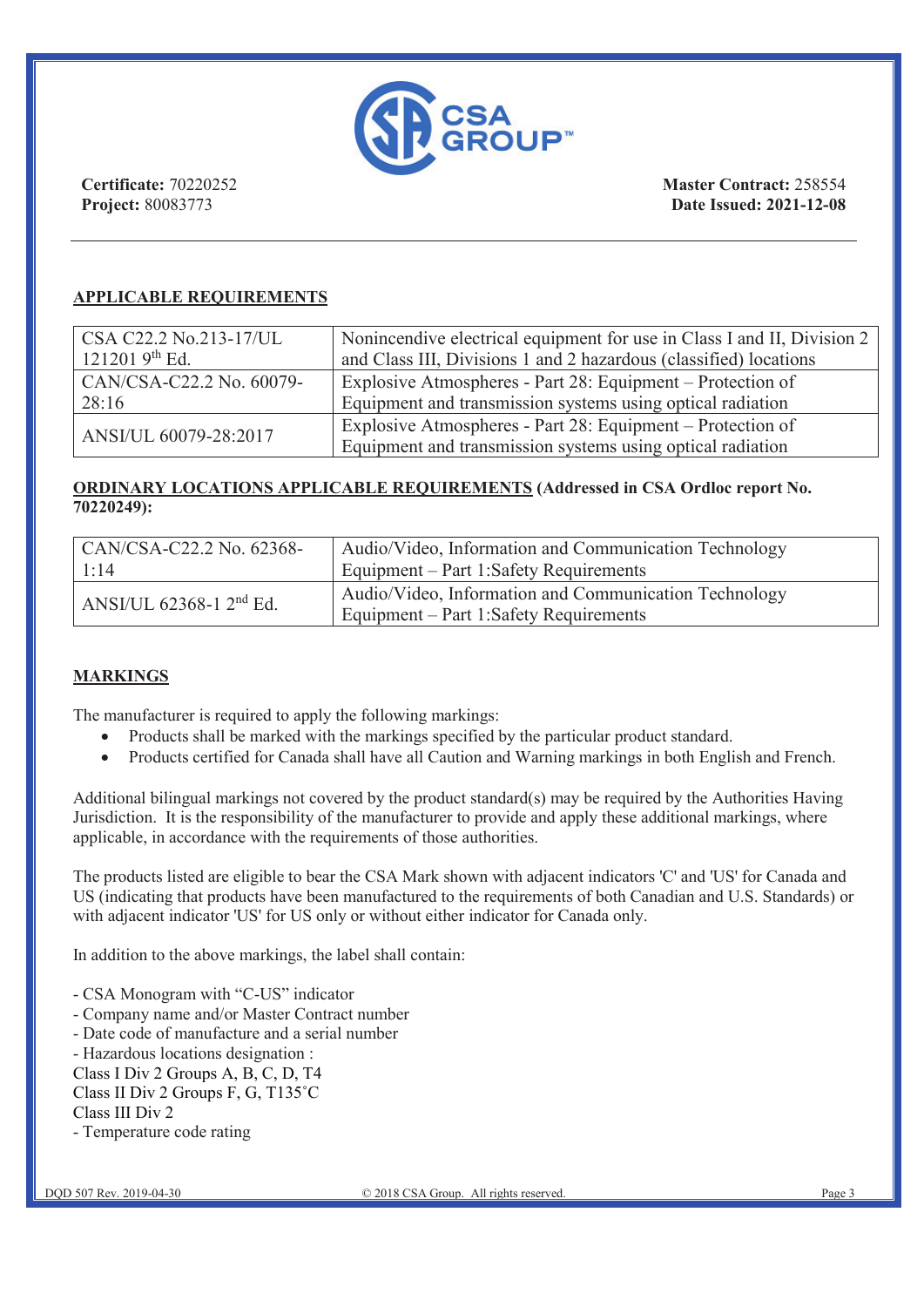

**Master Contract:** 258554 **Date Issued: 2021-12-08**

#### **APPLICABLE REQUIREMENTS**

| $\vert$ CSA C22.2 No.213-17/UL | Nonincendive electrical equipment for use in Class I and II, Division 2 |
|--------------------------------|-------------------------------------------------------------------------|
| 121201 $9^{th}$ Ed.            | and Class III, Divisions 1 and 2 hazardous (classified) locations       |
| $CRN/CSA-C22.2$ No. 60079-     | Explosive Atmospheres - Part 28: Equipment – Protection of              |
| 28:16                          | Equipment and transmission systems using optical radiation              |
| ANSI/UL 60079-28:2017          | Explosive Atmospheres - Part 28: Equipment – Protection of              |
|                                | Equipment and transmission systems using optical radiation              |

#### **ORDINARY LOCATIONS APPLICABLE REQUIREMENTS (Addressed in CSA Ordloc report No. 70220249):**

| $\text{CAN/CSA-C22.2 No. } 62368$ - | Audio/Video, Information and Communication Technology                                           |
|-------------------------------------|-------------------------------------------------------------------------------------------------|
| 1:14                                | Equipment – Part 1:Safety Requirements                                                          |
| ANSI/UL 62368-1 2 <sup>nd</sup> Ed. | Audio/Video, Information and Communication Technology<br>Equipment – Part 1:Safety Requirements |

#### **MARKINGS**

The manufacturer is required to apply the following markings:

- Products shall be marked with the markings specified by the particular product standard.
- Products certified for Canada shall have all Caution and Warning markings in both English and French.

Additional bilingual markings not covered by the product standard(s) may be required by the Authorities Having Jurisdiction. It is the responsibility of the manufacturer to provide and apply these additional markings, where applicable, in accordance with the requirements of those authorities.

The products listed are eligible to bear the CSA Mark shown with adjacent indicators 'C' and 'US' for Canada and US (indicating that products have been manufactured to the requirements of both Canadian and U.S. Standards) or with adjacent indicator 'US' for US only or without either indicator for Canada only.

In addition to the above markings, the label shall contain:

- CSA Monogram with "C-US" indicator
- Company name and/or Master Contract number
- Date code of manufacture and a serial number
- Hazardous locations designation :
- Class I Div 2 Groups A, B, C, D, T4
- Class II Div 2 Groups F, G, T135˚C
- Class III Div 2
- Temperature code rating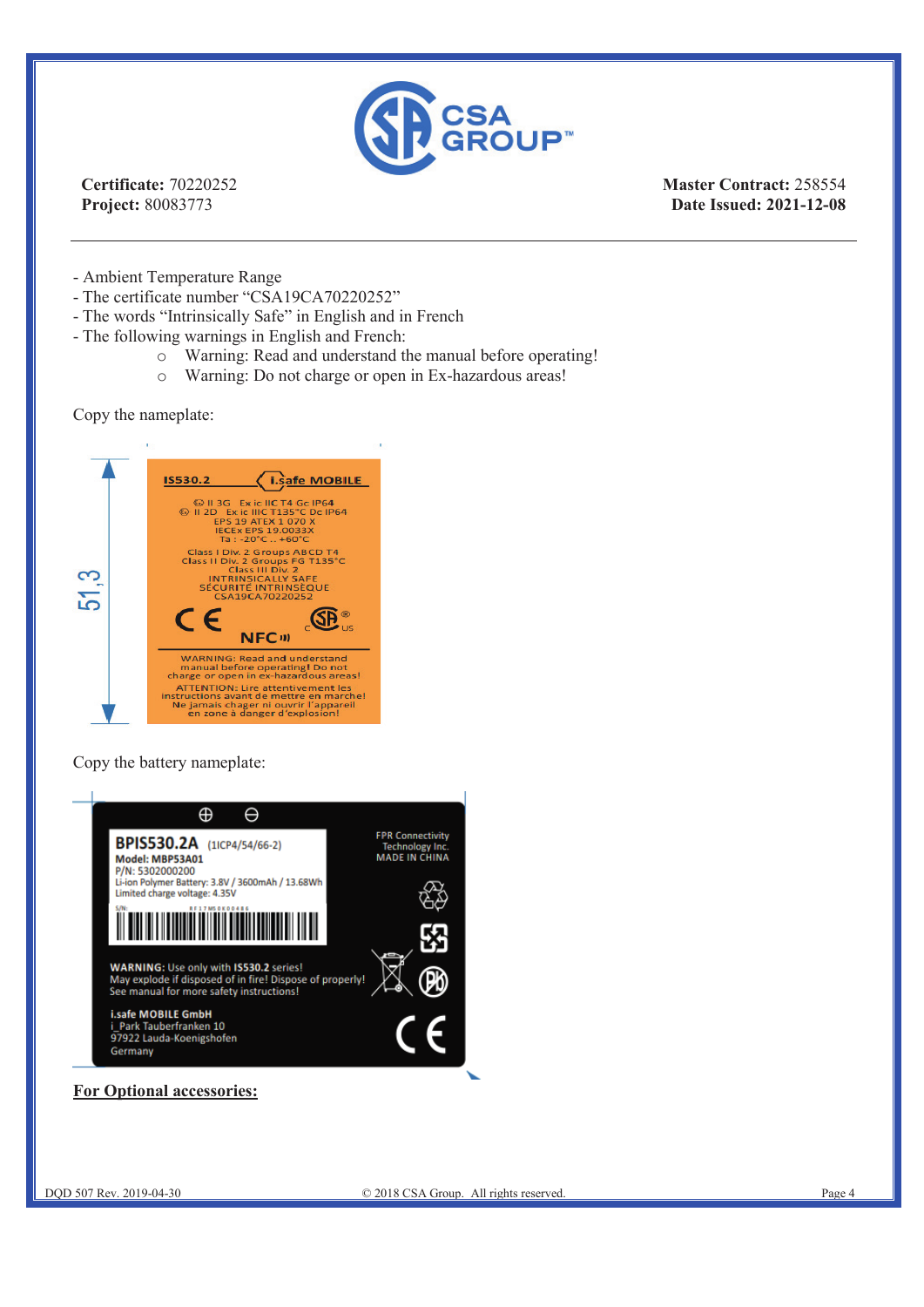

**Master Contract:** 258554 **Date Issued: 2021-12-08**

- Ambient Temperature Range

- The certificate number "CSA19CA70220252"
- The words "Intrinsically Safe" in English and in French
- The following warnings in English and French:
	- o Warning: Read and understand the manual before operating!<br>  $\circ$  Warning: Do not charge or open in Ex-hazardous areas!
		- Warning: Do not charge or open in Ex-hazardous areas!

Copy the nameplate:



Copy the battery nameplate:



#### **For Optional accessories:**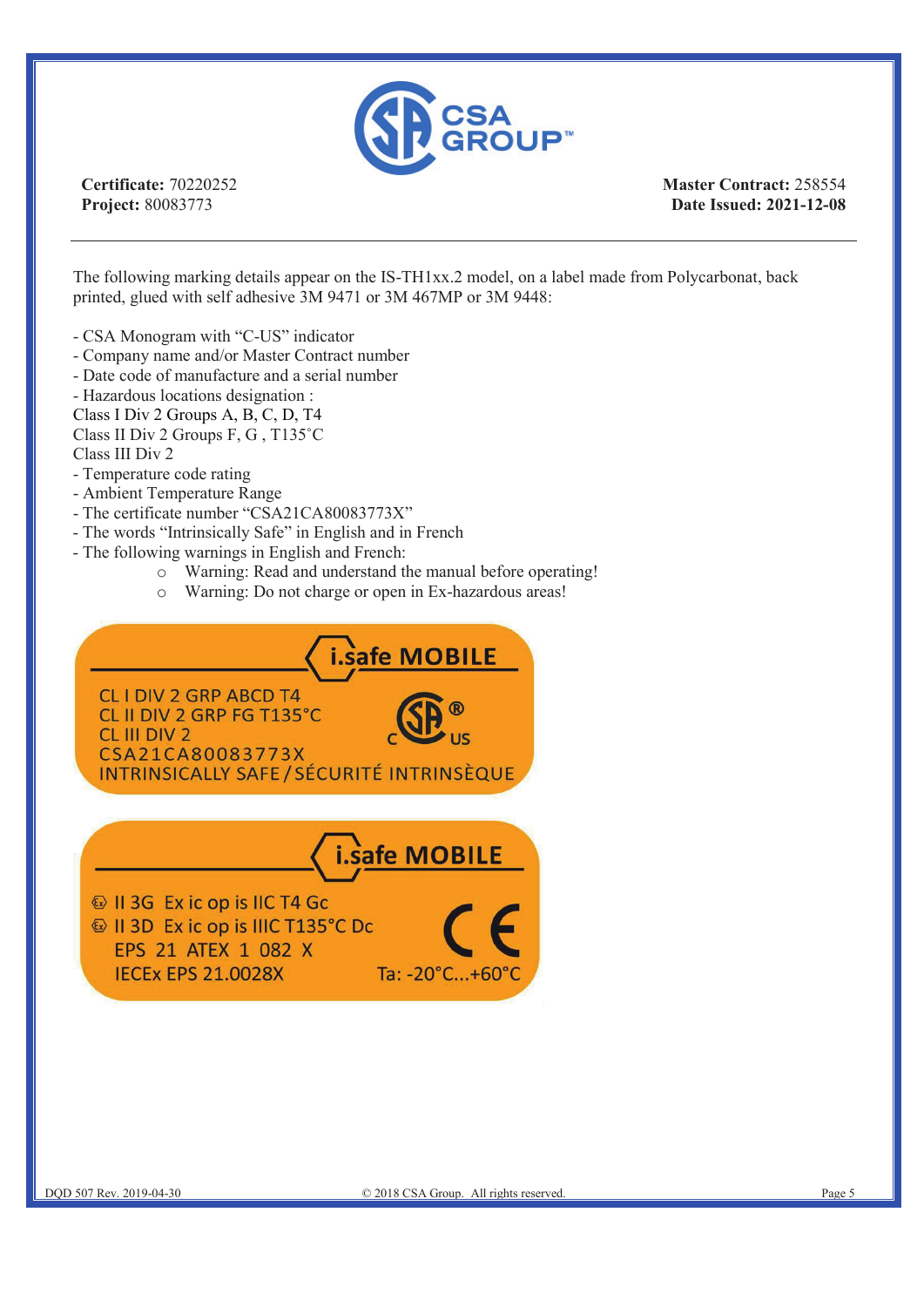

**Master Contract:** 258554 **Date Issued: 2021-12-08**

The following marking details appear on the IS-TH1xx.2 model, on a label made from Polycarbonat, back printed, glued with self adhesive 3M 9471 or 3M 467MP or 3M 9448:

- CSA Monogram with "C-US" indicator
- Company name and/or Master Contract number
- Date code of manufacture and a serial number

- Hazardous locations designation :

- Class I Div 2 Groups A, B, C, D, T4
- Class II Div 2 Groups F, G , T135˚C Class III Div 2
- Temperature code rating
- Ambient Temperature Range
- The certificate number "CSA21CA80083773X"
- The words "Intrinsically Safe" in English and in French
- The following warnings in English and French:
	- o Warning: Read and understand the manual before operating!
	- o Warning: Do not charge or open in Ex-hazardous areas!

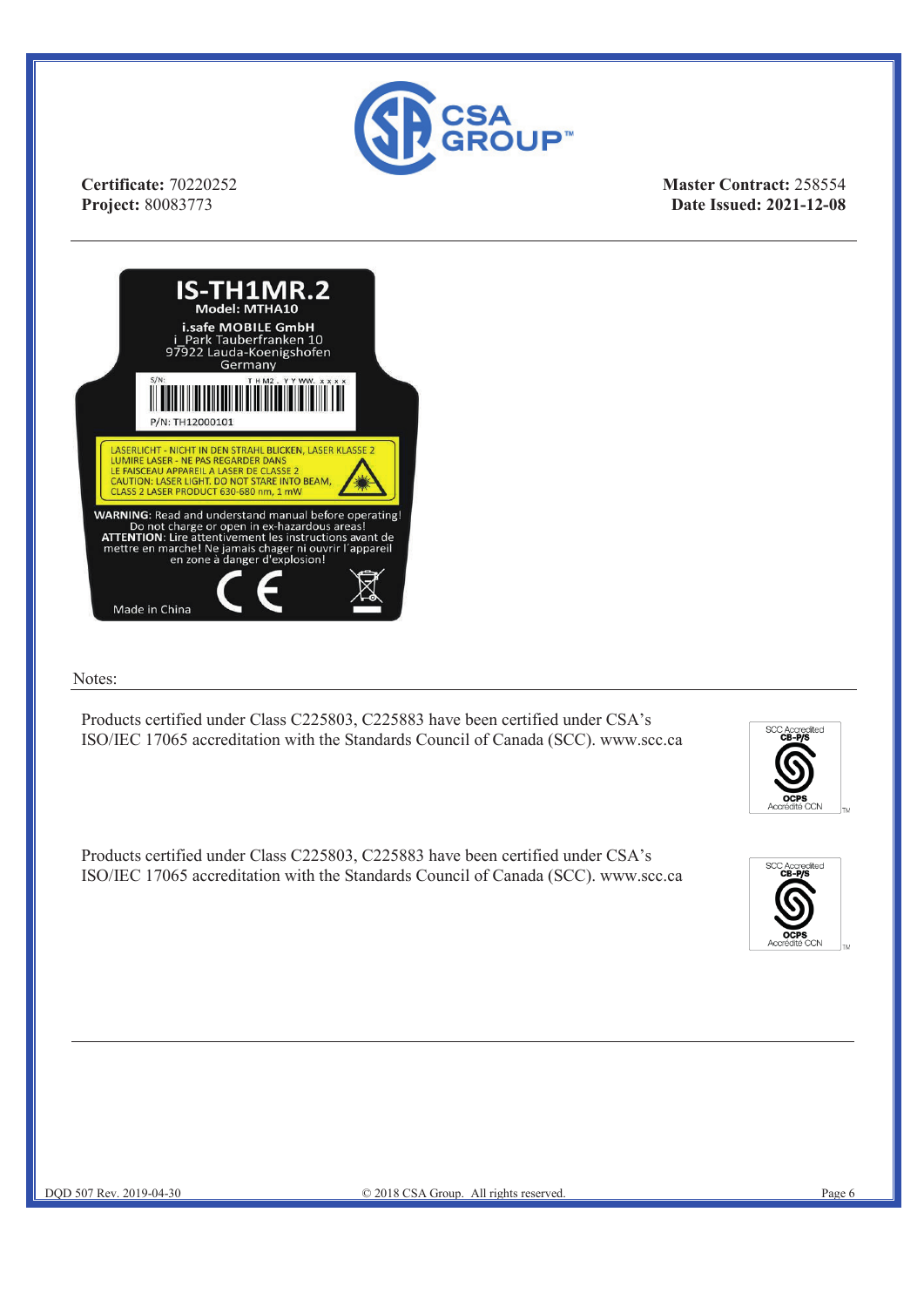

**Master Contract:** 258554 **Date Issued: 2021-12-08**



#### Notes:

Products certified under Class C225803, C225883 have been certified under CSA's ISO/IEC 17065 accreditation with the Standards Council of Canada (SCC). www.scc.ca

liter

Products certified under Class C225803, C225883 have been certified under CSA's ISO/IEC 17065 accreditation with the Standards Council of Canada (SCC). www.scc.ca